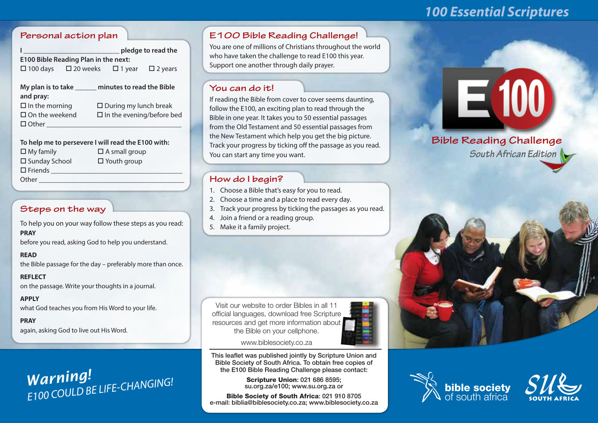# *100 Essential Scriptures*

## **Personal action plan**

| pledge to read the                          |                                                              |                              |  |  |  |  |  |  |  |  |  |
|---------------------------------------------|--------------------------------------------------------------|------------------------------|--|--|--|--|--|--|--|--|--|
| <b>E100 Bible Reading Plan in the next:</b> |                                                              |                              |  |  |  |  |  |  |  |  |  |
|                                             | $\Box$ 100 days $\Box$ 20 weeks $\Box$ 1 year $\Box$ 2 years |                              |  |  |  |  |  |  |  |  |  |
|                                             |                                                              |                              |  |  |  |  |  |  |  |  |  |
| My plan is to take                          |                                                              | minutes to read the Bible    |  |  |  |  |  |  |  |  |  |
| and pray:                                   |                                                              |                              |  |  |  |  |  |  |  |  |  |
| $\Box$ In the morning                       |                                                              | $\Box$ During my lunch break |  |  |  |  |  |  |  |  |  |

| $\square$ In the morning | $\square$ During my lunch break  |
|--------------------------|----------------------------------|
| $\square$ On the weekend | $\Box$ In the evening/before bed |
| $\Box$ Other             |                                  |
|                          |                                  |

 $\Box$  In the evening/before bed

| To help me to persevere I will read the E100 with: |                      |
|----------------------------------------------------|----------------------|
| $\Box$ My family                                   | $\Box$ A small group |
| □ Sunday School                                    | $\Box$ Youth group   |
| $\square$ Friends                                  |                      |
| Other                                              |                      |
|                                                    |                      |

# **Steps on the way**

To help you on your way follow these steps as you read: **PRAY**

before you read, asking God to help you understand.

### **READ**

the Bible passage for the day – preferably more than once.

**REFLECT** on the passage. Write your thoughts in a journal.

**APPLY** what God teaches you from His Word to your life.

**PRAY** again, asking God to live out His Word.

# *Warning! E100 COULD BE LIFE-CHANGING!*

# **E100 Bible Reading Challenge!**

You are one of millions of Christians throughout the world who have taken the challenge to read E100 this year. Support one another through daily prayer.

# **You can do it!**

If reading the Bible from cover to cover seems daunting, follow the E100, an exciting plan to read through the Bible in one year. It takes you to 50 essential passages from the Old Testament and 50 essential passages from the New Testament which help you get the big picture. Track your progress by ticking off the passage as you read. You can start any time you want.

# **How do I begin?**

- 1. Choose a Bible that's easy for you to read.
- 2. Choose a time and a place to read every day.
- 3. Track your progress by ticking the passages as you read.
- 4. Join a friend or a reading group.
- 5. Make it a family project.

Visit our website to order Bibles in all 11 official languages, download free Scripture resources and get more information about the Bible on your cellphone.



www.biblesociety.co.za

This leaflet was published jointly by Scripture Union and Bible Society of South Africa. To obtain free copies of the E100 Bible Reading Challenge please contact:

> Scripture Union: 021 686 8595; su.org.za/e100; www.su.org.za or

Bible Society of South Africa: 021 910 8705 e-mail: biblia@biblesociety.co.za; www.biblesociety.co.za

# E100

**Bible Reading Challenge** *South African Edition*